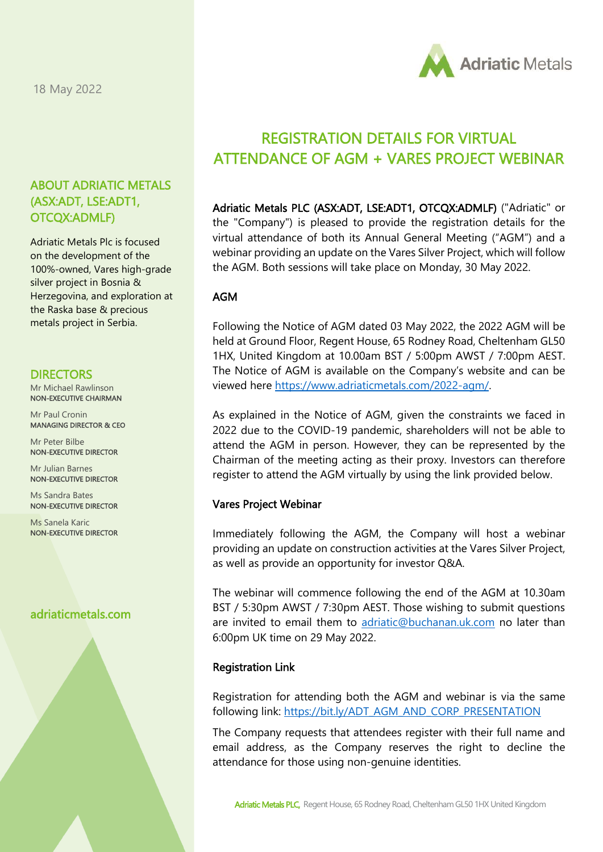18 May 2022

## ABOUT ADRIATIC METALS (ASX:ADT, LSE:ADT1, OTCQX:ADMLF)

Adriatic Metals Plc is focused on the development of the 100%-owned, Vares high-grade silver project in Bosnia & Herzegovina, and exploration at the Raska base & precious metals project in Serbia.

#### **DIRECTORS**

Mr Michael Rawlinson NON-EXECUTIVE CHAIRMAN

Mr Paul Cronin MANAGING DIRECTOR & CEO

Mr Peter Bilbe NON-EXECUTIVE DIRECTOR

Mr Julian Barnes NON-EXECUTIVE DIRECTOR

Ms Sandra Bates NON-EXECUTIVE DIRECTOR

Ms Sanela Karic NON-EXECUTIVE DIRECTOR

# adriaticmetals.com



# REGISTRATION DETAILS FOR VIRTUAL ATTENDANCE OF AGM + VARES PROJECT WEBINAR

Adriatic Metals PLC (ASX:ADT, LSE:ADT1, OTCQX:ADMLF) ("Adriatic" or the "Company") is pleased to provide the registration details for the virtual attendance of both its Annual General Meeting ("AGM") and a webinar providing an update on the Vares Silver Project, which will follow the AGM. Both sessions will take place on Monday, 30 May 2022.

### AGM

Following the Notice of AGM dated 03 May 2022, the 2022 AGM will be held at Ground Floor, Regent House, 65 Rodney Road, Cheltenham GL50 1HX, United Kingdom at 10.00am BST / 5:00pm AWST / 7:00pm AEST. The Notice of AGM is available on the Company's website and can be viewed here [https://www.adriaticmetals.com/2022-agm/.](https://www.adriaticmetals.com/2022-agm/)

As explained in the Notice of AGM, given the constraints we faced in 2022 due to the COVID-19 pandemic, shareholders will not be able to attend the AGM in person. However, they can be represented by the Chairman of the meeting acting as their proxy. Investors can therefore register to attend the AGM virtually by using the link provided below.

#### Vares Project Webinar

Immediately following the AGM, the Company will host a webinar providing an update on construction activities at the Vares Silver Project, as well as provide an opportunity for investor Q&A.

The webinar will commence following the end of the AGM at 10.30am BST / 5:30pm AWST / 7:30pm AEST. Those wishing to submit questions are invited to email them to [adriatic@buchanan.uk.com](mailto:adriatic@buchanan.uk.com) no later than 6:00pm UK time on 29 May 2022.

#### Registration Link

Registration for attending both the AGM and webinar is via the same following link: [https://bit.ly/ADT\\_AGM\\_AND\\_CORP\\_PRESENTATION](https://gbr01.safelinks.protection.outlook.com/?url=https%3A%2F%2Fbit.ly%2FADT_AGM_AND_CORP_PRESENTATION&data=05%7C01%7Cthomas.horton%40adriaticmetals.com%7C2a34040f61924b00535108da37f3e8be%7Caf63d2579d14425387c8b751ddfef965%7C0%7C0%7C637883818101567401%7CUnknown%7CTWFpbGZsb3d8eyJWIjoiMC4wLjAwMDAiLCJQIjoiV2luMzIiLCJBTiI6Ik1haWwiLCJXVCI6Mn0%3D%7C0%7C%7C%7C&sdata=4FUaJYHka7GoCSOhEEwGuICwI2Iw30EBqv927DPLgyU%3D&reserved=0)

The Company requests that attendees register with their full name and email address, as the Company reserves the right to decline the Registration Link<br>Registration for attending both the AGM and we<br>following link: <u>https://bit.ly/ADT\_AGM\_AND\_CORP</u><br>The Company requests that attendees register wit<br>email address, as the Company reserves the rattendance for